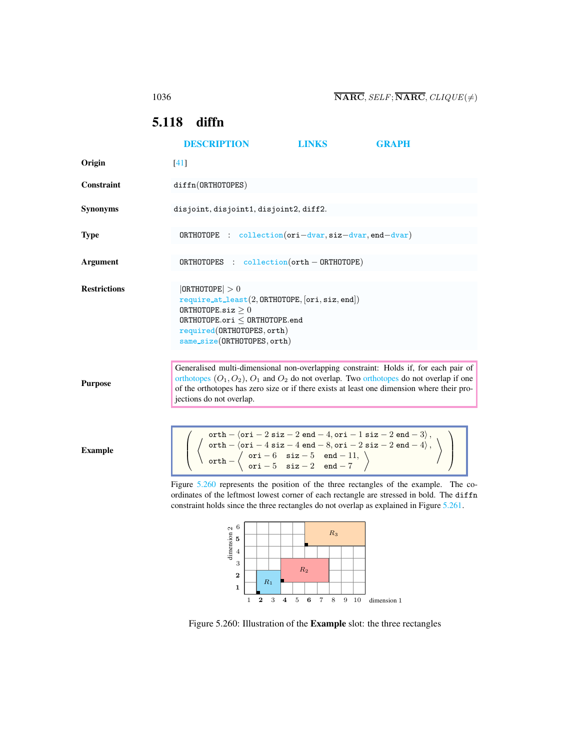# <span id="page-0-2"></span><span id="page-0-0"></span>5.118 diffn

|                     | <b>DESCRIPTION</b>                                                                                                                                                                                                                                                                                                                                                                                         | <b>LINKS</b>                                        | <b>GRAPH</b> |  |  |
|---------------------|------------------------------------------------------------------------------------------------------------------------------------------------------------------------------------------------------------------------------------------------------------------------------------------------------------------------------------------------------------------------------------------------------------|-----------------------------------------------------|--------------|--|--|
| Origin              | [41]                                                                                                                                                                                                                                                                                                                                                                                                       |                                                     |              |  |  |
| Constraint          | diffn(ORTHOTOPES)                                                                                                                                                                                                                                                                                                                                                                                          |                                                     |              |  |  |
| <b>Synonyms</b>     | disjoint, disjoint1, disjoint2, diff2.                                                                                                                                                                                                                                                                                                                                                                     |                                                     |              |  |  |
| <b>Type</b>         | $ORTHOTOPE$ : collection (ori-dvar, siz-dvar, end-dvar)                                                                                                                                                                                                                                                                                                                                                    |                                                     |              |  |  |
| Argument            | ORTHOTOPES :                                                                                                                                                                                                                                                                                                                                                                                               | $\text{collection}(\text{orth} - \text{ORTHOTOPE})$ |              |  |  |
| <b>Restrictions</b> | 0RTHOTOPE  > 0<br>$require_at\_least(2, ORTHOTOPE, [ori, siz, end])$<br>ORTHOTOPE.siz $\geq 0$<br>$0$ RTHOTOPE.ori $<$ ORTHOTOPE.end<br>required(ORTHOTOPES, orth)<br>same_size(ORTHOTOPES, orth)                                                                                                                                                                                                          |                                                     |              |  |  |
| <b>Purpose</b>      | Generalised multi-dimensional non-overlapping constraint: Holds if, for each pair of<br>orthotopes $(O_1, O_2)$ , $O_1$ and $O_2$ do not overlap. Two orthotopes do not overlap if one<br>of the orthotopes has zero size or if there exists at least one dimension where their pro-<br>jections do not overlap.                                                                                           |                                                     |              |  |  |
| <b>Example</b>      | $\left(\begin{array}{c} \text{orth} - \langle \text{ori} - 2 \text{ size} - 2 \text{ end} - 4, \text{ori} - 1 \text{ size} - 2 \text{ end} - 3 \rangle, \\ \langle \text{orth} - \langle \text{ori} - 4 \text{ size} - 4 \text{ end} - 8, \text{ori} - 2 \text{ size} - 2 \text{ end} - 4 \rangle, \\ \text{orth} - \langle \text{ ori} - 6 \text{ size} - 5 \text{ end} - 11, \rangle \end{array}\right)$ |                                                     |              |  |  |

Figure [5.260](#page-0-1) represents the position of the three rectangles of the example. The coordinates of the leftmost lowest corner of each rectangle are stressed in bold. The diffn constraint holds since the three rectangles do not overlap as explained in Figure [5.261.](#page-1-0)

 $ori - 5$  siz - 2 end - 7



<span id="page-0-1"></span>Figure 5.260: Illustration of the Example slot: the three rectangles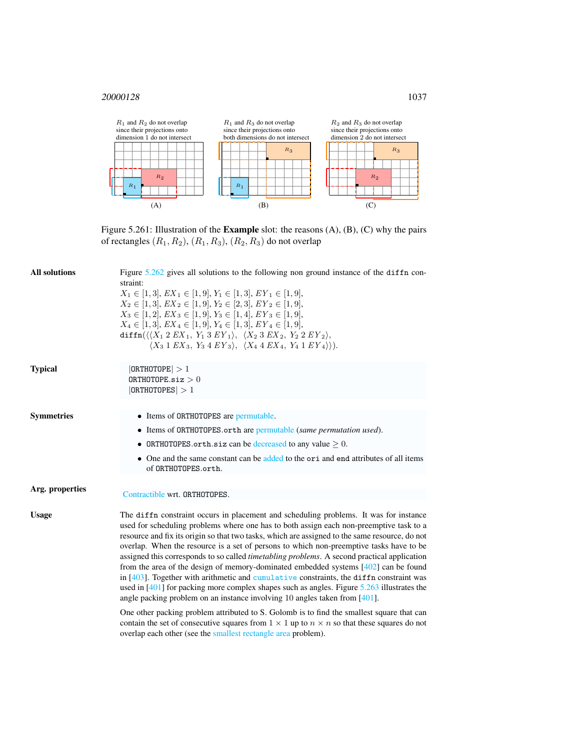

<span id="page-1-0"></span>Figure 5.261: Illustration of the Example slot: the reasons (A), (B), (C) why the pairs of rectangles  $(R_1, R_2)$ ,  $(R_1, R_3)$ ,  $(R_2, R_3)$  do not overlap

| <b>All solutions</b> | Figure $5.262$ gives all solutions to the following non ground instance of the diffn con-<br>straint:<br>$X_1 \in [1,3], EX_1 \in [1,9], Y_1 \in [1,3], EY_1 \in [1,9],$<br>$X_2 \in [1,3], EX_2 \in [1,9], Y_2 \in [2,3], EY_2 \in [1,9],$<br>$X_3 \in [1,2], EX_3 \in [1,9], Y_3 \in [1,4], EY_3 \in [1,9],$<br>$X_4 \in [1,3], EX_4 \in [1,9], Y_4 \in [1,3], EY_4 \in [1,9],$<br>diffn $(\langle X_1 2 EX_1, Y_1 3 EY_1 \rangle, \ \langle X_2 3 EX_2, Y_2 2 EY_2 \rangle,$<br>$\langle X_3 \, 1 \, E X_3, Y_3 \, 4 \, E Y_3 \rangle, \ \langle X_4 \, 4 \, E X_4, Y_4 \, 1 \, E Y_4 \rangle \rangle.$                                                                                                                                                                                                                                                |  |  |
|----------------------|-----------------------------------------------------------------------------------------------------------------------------------------------------------------------------------------------------------------------------------------------------------------------------------------------------------------------------------------------------------------------------------------------------------------------------------------------------------------------------------------------------------------------------------------------------------------------------------------------------------------------------------------------------------------------------------------------------------------------------------------------------------------------------------------------------------------------------------------------------------|--|--|
| <b>Typical</b>       | 0RTHOTOPE  > 1<br>ORTHOTOPE.siz $>0$<br> ORTHOTOPES  > 1                                                                                                                                                                                                                                                                                                                                                                                                                                                                                                                                                                                                                                                                                                                                                                                                  |  |  |
| <b>Symmetries</b>    | • Items of ORTHOTOPES are permutable.                                                                                                                                                                                                                                                                                                                                                                                                                                                                                                                                                                                                                                                                                                                                                                                                                     |  |  |
|                      | • Items of ORTHOTOPES.orth are permutable (same permutation used).                                                                                                                                                                                                                                                                                                                                                                                                                                                                                                                                                                                                                                                                                                                                                                                        |  |  |
|                      | • ORTHOTOPES orth siz can be decreased to any value $\geq 0$ .                                                                                                                                                                                                                                                                                                                                                                                                                                                                                                                                                                                                                                                                                                                                                                                            |  |  |
|                      | • One and the same constant can be added to the ori and end attributes of all items<br>of ORTHOTOPES.orth.                                                                                                                                                                                                                                                                                                                                                                                                                                                                                                                                                                                                                                                                                                                                                |  |  |
| Arg. properties      |                                                                                                                                                                                                                                                                                                                                                                                                                                                                                                                                                                                                                                                                                                                                                                                                                                                           |  |  |
|                      | Contractible wrt. ORTHOTOPES.                                                                                                                                                                                                                                                                                                                                                                                                                                                                                                                                                                                                                                                                                                                                                                                                                             |  |  |
| <b>Usage</b>         | The diffn constraint occurs in placement and scheduling problems. It was for instance<br>used for scheduling problems where one has to both assign each non-preemptive task to a<br>resource and fix its origin so that two tasks, which are assigned to the same resource, do not<br>overlap. When the resource is a set of persons to which non-preemptive tasks have to be<br>assigned this corresponds to so called <i>timetabling problems</i> . A second practical application<br>from the area of the design of memory-dominated embedded systems $[402]$ can be found<br>in [403]. Together with arithmetic and cumulative constraints, the diffn constraint was<br>used in $[401]$ for packing more complex shapes such as angles. Figure 5.263 illustrates the<br>angle packing problem on an instance involving 10 angles taken from $[401]$ . |  |  |
|                      | One other packing problem attributed to S. Golomb is to find the smallest square that can<br>contain the set of consecutive squares from $1 \times 1$ up to $n \times n$ so that these squares do not<br>overlap each other (see the smallest rectangle area problem).                                                                                                                                                                                                                                                                                                                                                                                                                                                                                                                                                                                    |  |  |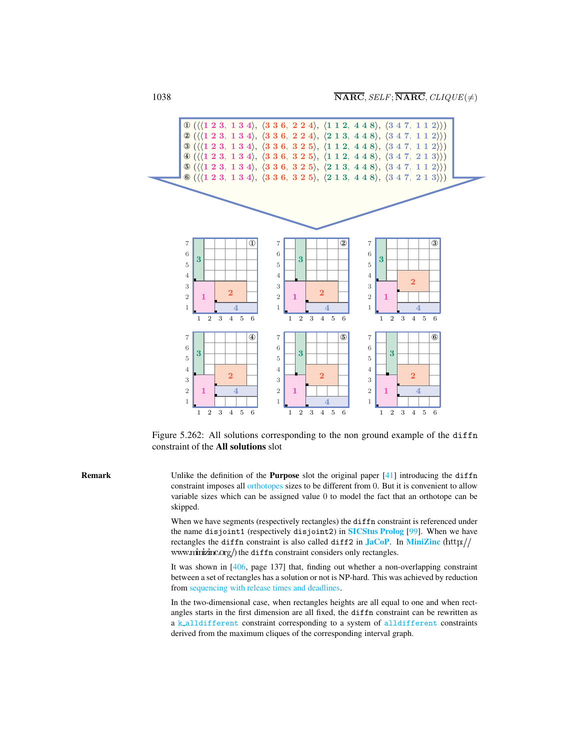

<span id="page-2-0"></span>Figure 5.262: All solutions corresponding to the non ground example of the diffn constraint of the All solutions slot

Remark Unlike the definition of the Purpose slot the original paper [41] introducing the diffn constraint imposes all orthotopes sizes to be different from 0. But it is convenient to allow variable sizes which can be assigned value 0 to model the fact that an orthotope can be skipped.

> When we have segments (respectively rectangles) the diffn constraint is referenced under the name disjoint1 (respectively disjoint2) in [SICStus Prolog](http://www.sics.se/sicstus/) [99]. When we have rectangles the diffn constraint is also called diff2 in  $JacOP$ . In [MiniZinc](http://www.minizinc.org/) (http:// www.minizinc.org/) the diffn constraint considers only rectangles.

> It was shown in [406, page 137] that, finding out whether a non-overlapping constraint between a set of rectangles has a solution or not is NP-hard. This was achieved by reduction from sequencing with release times and deadlines.

> In the two-dimensional case, when rectangles heights are all equal to one and when rectangles starts in the first dimension are all fixed, the diffn constraint can be rewritten as a k\_alldifferent constraint corresponding to a system of alldifferent constraints derived from the maximum cliques of the corresponding interval graph.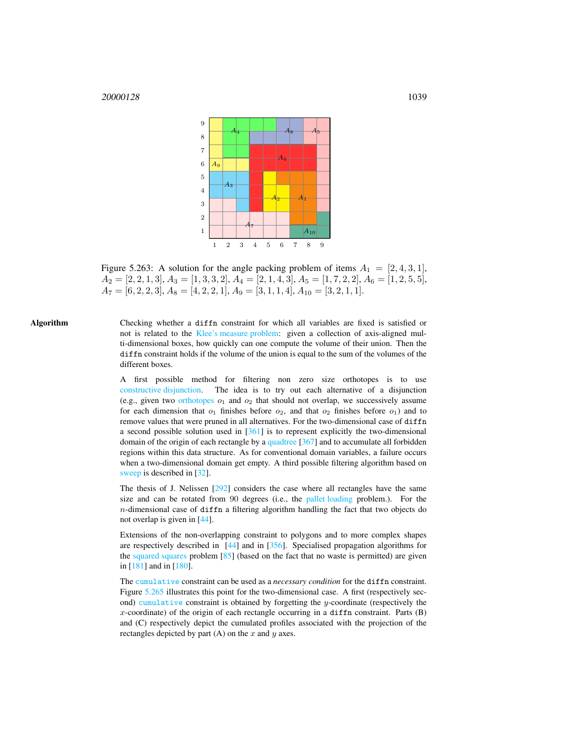

<span id="page-3-0"></span>Figure 5.263: A solution for the angle packing problem of items  $A_1 = [2, 4, 3, 1]$ ,  $A_2 = [2, 2, 1, 3], A_3 = [1, 3, 3, 2], A_4 = [2, 1, 4, 3], A_5 = [1, 7, 2, 2], A_6 = [1, 2, 5, 5],$  $A_7 = [6, 2, 2, 3], A_8 = [4, 2, 2, 1], A_9 = [3, 1, 1, 4], A_{10} = [3, 2, 1, 1].$ 

Algorithm Checking whether a diffn constraint for which all variables are fixed is satisfied or not is related to the Klee's measure problem: given a collection of axis-aligned multi-dimensional boxes, how quickly can one compute the volume of their union. Then the diffn constraint holds if the volume of the union is equal to the sum of the volumes of the different boxes.

> A first possible method for filtering non zero size orthotopes is to use constructive disjunction. The idea is to try out each alternative of a disjunction (e.g., given two orthotopes  $o_1$  and  $o_2$  that should not overlap, we successively assume for each dimension that  $o_1$  finishes before  $o_2$ , and that  $o_2$  finishes before  $o_1$ ) and to remove values that were pruned in all alternatives. For the two-dimensional case of diffn a second possible solution used in  $[361]$  is to represent explicitly the two-dimensional domain of the origin of each rectangle by a quadtree [367] and to accumulate all forbidden regions within this data structure. As for conventional domain variables, a failure occurs when a two-dimensional domain get empty. A third possible filtering algorithm based on sweep is described in [32].

> The thesis of J. Nelissen [292] considers the case where all rectangles have the same size and can be rotated from 90 degrees (i.e., the pallet loading problem.). For the  $n$ -dimensional case of diffn a filtering algorithm handling the fact that two objects do not overlap is given in [44].

> Extensions of the non-overlapping constraint to polygons and to more complex shapes are respectively described in [44] and in [356]. Specialised propagation algorithms for the squared squares problem [85] (based on the fact that no waste is permitted) are given in [181] and in [180].

> The cumulative constraint can be used as a *necessary condition* for the diffn constraint. Figure [5.265](#page-5-0) illustrates this point for the two-dimensional case. A first (respectively second) cumulative constraint is obtained by forgetting the  $y$ -coordinate (respectively the  $x$ -coordinate) of the origin of each rectangle occurring in a diffn constraint. Parts  $(B)$ and (C) respectively depict the cumulated profiles associated with the projection of the rectangles depicted by part  $(A)$  on the x and y axes.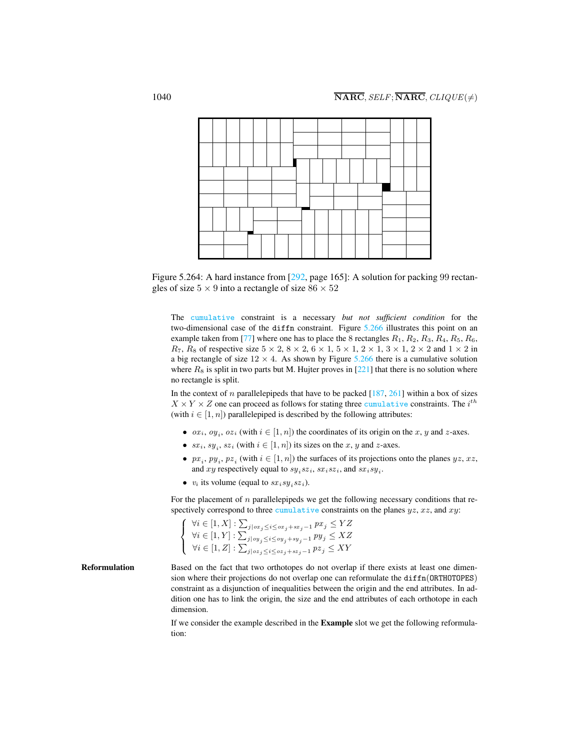

Figure 5.264: A hard instance from [292, page 165]: A solution for packing 99 rectangles of size  $5 \times 9$  into a rectangle of size  $86 \times 52$ 

The cumulative constraint is a necessary *but not sufficient condition* for the two-dimensional case of the diffn constraint. Figure [5.266](#page-5-1) illustrates this point on an example taken from [77] where one has to place the 8 rectangles  $R_1, R_2, R_3, R_4, R_5, R_6$ ,  $R_7$ ,  $R_8$  of respective size  $5 \times 2$ ,  $8 \times 2$ ,  $6 \times 1$ ,  $5 \times 1$ ,  $2 \times 1$ ,  $3 \times 1$ ,  $2 \times 2$  and  $1 \times 2$  in a big rectangle of size  $12 \times 4$ . As shown by Figure [5.266](#page-5-1) there is a cumulative solution where  $R_8$  is split in two parts but M. Hujter proves in [221] that there is no solution where no rectangle is split.

In the context of n parallelepipeds that have to be packed  $[187, 261]$  within a box of sizes  $X \times Y \times Z$  one can proceed as follows for stating three cumulative constraints. The  $i^{th}$ (with  $i \in [1, n]$ ) parallelepiped is described by the following attributes:

- $ox_i$ ,  $oy_i$ ,  $oz_i$  (with  $i \in [1, n]$ ) the coordinates of its origin on the x, y and z-axes.
- $sx_i, sy_i, sz_i$  (with  $i \in [1, n]$ ) its sizes on the x, y and z-axes.
- $px_i, py_i, pz_i$  (with  $i \in [1, n]$ ) the surfaces of its projections onto the planes  $yz, xz$ , and xy respectively equal to  $sy_i sz_i$ ,  $sx_i sz_i$ , and  $sx_i sy_i$ .
- $v_i$  its volume (equal to  $sx_i sy_i sz_i$ ).

For the placement of  $n$  parallelepipeds we get the following necessary conditions that respectively correspond to three cumulative constraints on the planes  $yz$ ,  $xz$ , and  $xy$ :

$$
\begin{cases} \forall i \in [1, X] : \sum_{j \mid \sigma x_j \leq i \leq \sigma x_j + s x_j - 1} px_j \leq YZ \\ \forall i \in [1, Y] : \sum_{j \mid \sigma y_j \leq i \leq \sigma y_j + s y_j - 1} py_j \leq XZ \\ \forall i \in [1, Z] : \sum_{j \mid \sigma z_j \leq i \leq \sigma z_j + s z_j - 1} pz_j \leq XY \end{cases}
$$

Reformulation Based on the fact that two orthotopes do not overlap if there exists at least one dimension where their projections do not overlap one can reformulate the diffn(ORTHOTOPES) constraint as a disjunction of inequalities between the origin and the end attributes. In addition one has to link the origin, the size and the end attributes of each orthotope in each dimension.

> If we consider the example described in the Example slot we get the following reformulation: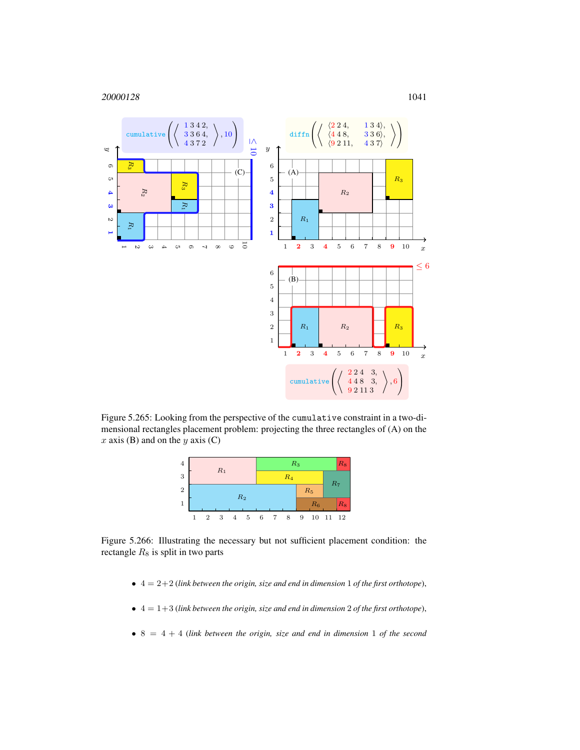

Figure 5.265: Looking from the perspective of the cumulative constraint in a two-dimensional rectangles placement problem: projecting the three rectangles of (A) on the  $x$  axis (B) and on the  $y$  axis (C)

<span id="page-5-0"></span>

Figure 5.266: Illustrating the necessary but not sufficient placement condition: the rectangle  $R_8$  is split in two parts

- <span id="page-5-1"></span>• 4 = 2+2 (*link between the origin, size and end in dimension* 1 *of the first orthotope*),
- $\bullet$   $4 = 1+3$  (*link between the origin, size and end in dimension* 2 *of the first orthotope*),
- 8 = 4 + 4 (*link between the origin, size and end in dimension* 1 *of the second*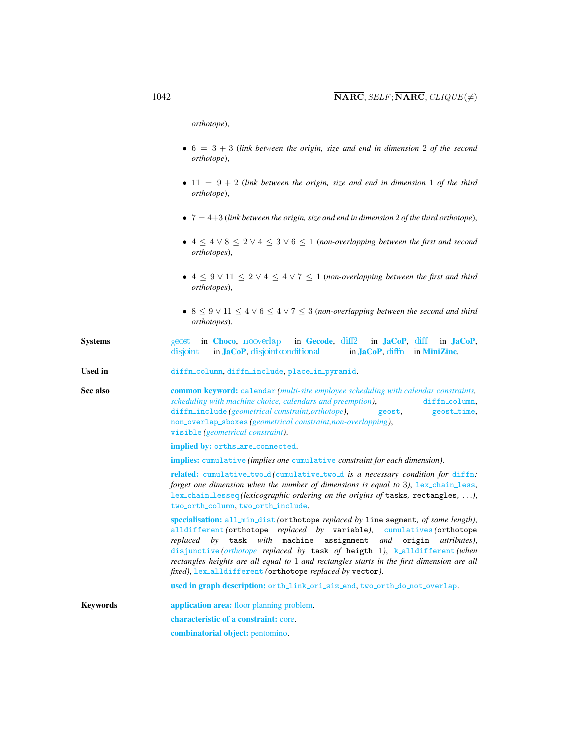*orthotope*),

- $\bullet$  6 = 3 + 3 (*link between the origin, size and end in dimension* 2 *of the second orthotope*),
- 11 = 9 + 2 (*link between the origin, size and end in dimension* 1 *of the third orthotope*),
- 7 = 4+3 (*link between the origin, size and end in dimension* 2 *of the third orthotope*),
- 4 ≤ 4 ∨ 8 ≤ 2 ∨ 4 ≤ 3 ∨ 6 ≤ 1 (*non-overlapping between the first and second orthotopes*),
- 4 ≤ 9 ∨ 11 ≤ 2 ∨ 4 ≤ 4 ∨ 7 ≤ 1 (*non-overlapping between the first and third orthotopes*),
- 8 ≤ 9 ∨ 11 ≤ 4 ∨ 6 ≤ 4 ∨ 7 ≤ 3 (*non-overlapping between the second and third orthotopes*).
- Systems [geost](http://www.emn.fr/z-info/choco-solver/tex/documentation/choco-doc.pdf) in [Choco](http://choco.emn.fr/), [nooverlap](http://www.gecode.org/doc/3.7.0/reference/group__TaskModelIntGeoPacking.html) in [Gecode](http://www.gecode.org/), [diff2](http://jacopapi.osolpro.com/JaCoP/constraints/Diff2.html) in [JaCoP](http://www.jacop.eu/), [diff](http://jacopapi.osolpro.com/JaCoP/constraints/Diff.html) in JaCoP, [disjoint](http://jacopapi.osolpro.com/JaCoP/constraints/Disjoint.html) in [JaCoP](http://www.jacop.eu/), disjoint conditional in JaCoP, [diffn](http://www.g12.cs.mu.oz.au/minizinc/downloads/doc-1.4/mzn-globals.html#diffn) in [MiniZinc](http://www.g12.cs.mu.oz.au/minizinc/).
- <span id="page-6-0"></span>Used in diffn\_column, diffn\_include, place\_in\_pyramid.

See also common keyword: calendar (multi-site employee scheduling with calendar constraints, *scheduling with machine choice, calendars and preemption*), diffn\_column, diffn\_include (*geometrical constraint,orthotope*), geost, geost\_time, non overlap sboxes *(geometrical constraint,non-overlapping)*, visible *(geometrical constraint)*.

implied by: orths are connected.

implies: cumulative *(implies one* cumulative *constraint for each dimension)*.

related: cumulative two d *(*cumulative two d *is a necessary condition for* [diffn](#page-0-2)*: forget one dimension when the number of dimensions is equal to 3), lex\_chain\_less,* lex chain lesseq *(lexicographic ordering on the origins of* tasks*,* rectangles*,* . . .*)*, two\_orth\_column, two\_orth\_include.

specialisation: all min dist *(*orthotope *replaced by* line segment*, of same length)*, alldifferent *(*orthotope *replaced by* variable*)*, cumulatives *(*orthotope *replaced by* task *with* machine assignment *and* origin *attributes)*, disjunctive *(orthotope replaced by* task *of* heigth 1*)*, k alldifferent *(when rectangles heights are all equal to* 1 *and rectangles starts in the first dimension are all fixed)*, lex alldifferent *(*orthotope *replaced by* vector*)*.

used in graph description: orth\_link\_ori\_siz\_end, two\_orth\_do\_not\_overlap.

Keywords **application area:** floor planning problem. characteristic of a constraint: core. combinatorial object: pentomino.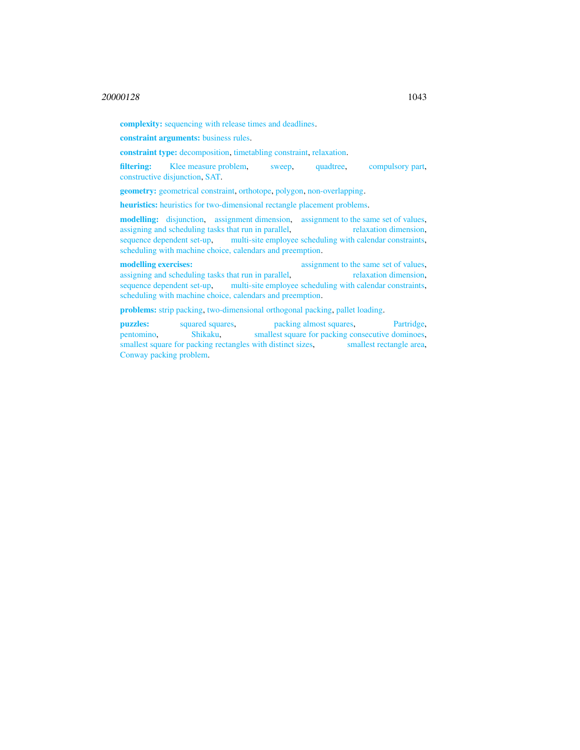complexity: sequencing with release times and deadlines.

constraint arguments: business rules.

constraint type: decomposition, timetabling constraint, relaxation.

filtering: Klee measure problem, sweep, quadtree, compulsory part, constructive disjunction, SAT.

geometry: geometrical constraint, orthotope, polygon, non-overlapping.

heuristics: heuristics for two-dimensional rectangle placement problems.

modelling: disjunction, assignment dimension, assignment to the same set of values, assigning and scheduling tasks that run in parallel, relaxation dimension, sequence dependent set-up, multi-site employee scheduling with calendar constraints, scheduling with machine choice, calendars and preemption.

modelling exercises:<br>
assignment to the same set of values, assigning and scheduling tasks that run in parallel, relaxation dimension, sequence dependent set-up, multi-site employee scheduling with calendar constraints, scheduling with machine choice, calendars and preemption.

problems: strip packing, two-dimensional orthogonal packing, pallet loading.

puzzles: squared squares, packing almost squares, Partridge, pentomino, Shikaku, smallest square for packing consecutive dominoes, smallest square for packing rectangles with distinct sizes, smallest rectangle area, Conway packing problem.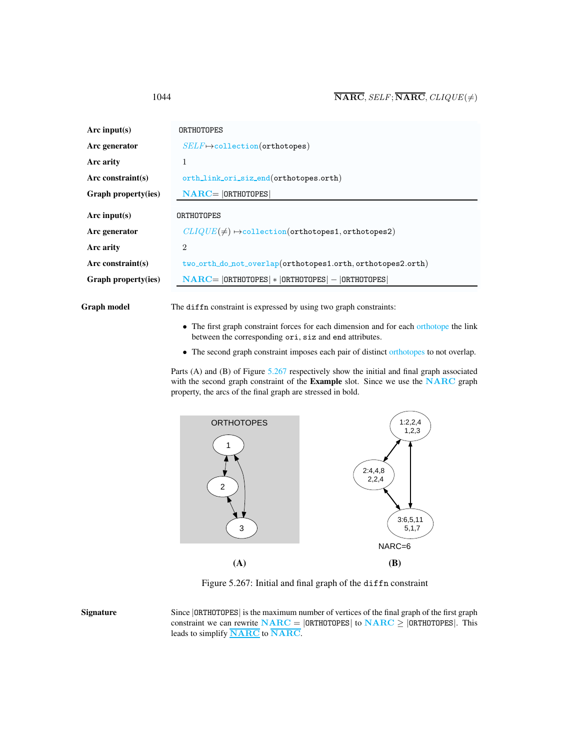| Arc input( $s$ )     | ORTHOTOPES                                                      |  |  |  |
|----------------------|-----------------------------------------------------------------|--|--|--|
| Arc generator        | $SELF \mapsto$ collection(orthotopes)                           |  |  |  |
| Arc arity            | 1                                                               |  |  |  |
| Arc constraint(s)    | orth_link_ori_siz_end(orthotopes.orth)                          |  |  |  |
| Graph property(ies)  | $NARC =  ORTHOTOPES $                                           |  |  |  |
|                      |                                                                 |  |  |  |
| Arc input $(s)$      | ORTHOTOPES                                                      |  |  |  |
| Arc generator        | $CLIQUE(\neq) \rightarrow collection(orthotopes1, orthotopes2)$ |  |  |  |
| Arc arity            | $\overline{2}$                                                  |  |  |  |
| Arc constraint $(s)$ | two_orth_do_not_overlap(orthotopes1.orth,orthotopes2.orth)      |  |  |  |
| Graph property(ies)  | $NARC =  ORTHOTOPES  *  ORTHOTOPES  -  ORTHOTOPES $             |  |  |  |
|                      |                                                                 |  |  |  |

Graph model The diffn constraint is expressed by using two graph constraints:

- The first graph constraint forces for each dimension and for each orthotope the link between the corresponding ori, siz and end attributes.
- The second graph constraint imposes each pair of distinct orthotopes to not overlap.

Parts (A) and (B) of Figure [5.267](#page-8-1) respectively show the initial and final graph associated with the second graph constraint of the Example slot. Since we use the NARC graph property, the arcs of the final graph are stressed in bold.



<span id="page-8-1"></span>Figure 5.267: Initial and final graph of the diffn constraint

Signature Since |ORTHOTOPES| is the maximum number of vertices of the final graph of the first graph constraint we can rewrite  $NARC = |ORTHOTOPES|$  to  $NARC \ge |ORTHOTOPES|$ . This leads to simplify **NARC** to **NARC**.

<span id="page-8-0"></span>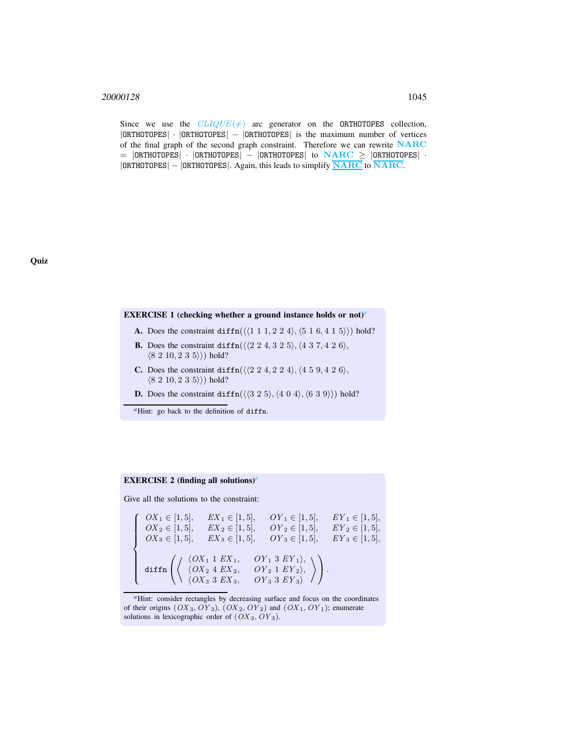Since we use the  $CLIQUE(\neq)$  arc generator on the ORTHOTOPES collection, |ORTHOTOPES| · |ORTHOTOPES| − |ORTHOTOPES| is the maximum number of vertices of the final graph of the second graph constraint. Therefore we can rewrite NARC  $=$  |ORTHOTOPES| · |ORTHOTOPES| – |ORTHOTOPES| to  $\overline{\text{NARC}}$   $\geq$  |ORTHOTOPES| ·  $|ORTHOTOPES| - |ORTHOTOPES|$ . Again, this leads to simplify  $\overline{\text{NARC}}$  to  $\overline{\text{NARC}}$ .

#### EXERCISE 1 (checking whether a ground instance holds or not)*[a](#page-9-0)*

- A. Does the constraint diffn $(\langle 1 1 1, 2 2 4 \rangle, \langle 5 1 6, 4 1 5 \rangle)$  hold?
- **B.** Does the constraint diffn( $\langle 2 2 4, 3 2 5 \rangle$ ,  $\langle 4 3 7, 4 2 6 \rangle$ ,  $(8 2 10, 2 3 5)$  hold?
- **C.** Does the constraint diffn( $\langle \langle 2 \ 2 \ 4, 2 \ 2 \ 4 \rangle, \langle 4 \ 5 \ 9, 4 \ 2 \ 6 \rangle$ ,  $(8 2 10, 2 3 5)$  hold?
- **D.** Does the constraint diffn( $\langle \langle 3 2 5 \rangle, \langle 4 0 4 \rangle, \langle 6 3 9 \rangle \rangle$ ) hold?
- *<sup>a</sup>*Hint: go back to the definition of diffn.

## <span id="page-9-0"></span>EXERCISE 2 (finding [a](#page-9-1)ll solutions)<sup>*a*</sup>

Give all the solutions to the constraint:

$$
\begin{cases}\nOX_1 \in [1,5], & EX_1 \in [1,5], & OY_1 \in [1,5], & EY_1 \in [1,5], \\
OX_2 \in [1,5], & EX_2 \in [1,5], & OY_2 \in [1,5], & EY_2 \in [1,5], \\
OX_3 \in [1,5], & EX_3 \in [1,5], & OY_3 \in [1,5], & EY_3 \in [1,5], \\
\text{diffn}\n\left( \begin{array}{ccc}\n\langle OX_1 & 1 & EX_1, & OY_1 & 3 & EV_1 \rangle, \\
\langle OX_2 & 4 & EX_2, & OY_2 & 1 & EV_2 \rangle, \\
\langle OX_3 & 3 & EX_3, & OY_3 & 3 & EY_3 \rangle\n\end{array} \right)\n\end{cases}
$$

<span id="page-9-1"></span>*<sup>a</sup>*Hint: consider rectangles by decreasing surface and focus on the coordinates of their origins  $(OX_3, OY_3)$ ,  $(OX_2, OY_2)$  and  $(OX_1, OY_1)$ ; enumerate solutions in lexicographic order of  $(OX<sub>3</sub>, OY<sub>3</sub>)$ .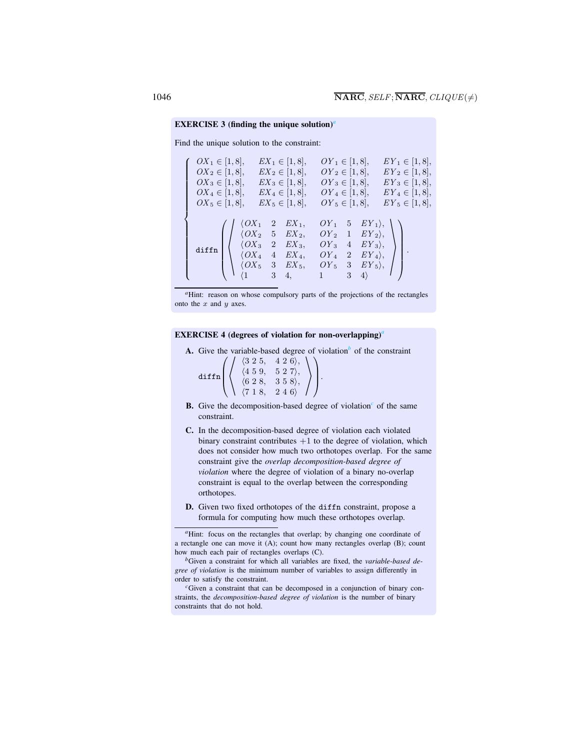#### EXERCISE 3 (finding the unique solution)<sup>*[a](#page-10-0)*</sup>

Find the unique solution to the constraint:

| $OX_1 \in [1, 8],$<br>$OX_2 \in [1, 8],$<br>$OX_3 \in [1, 8],$<br>$OX_4 \in [1, 8],$<br>$OX_5 \in [1, 8],$ |                                                                                                                                                                                                                                                                                          | $EX_1 \in [1, 8],$<br>$EX_2 \in [1, 8],$<br>$EX_3 \in [1, 8],$<br>$EX_4 \in [1, 8],$<br>$EX_5 \in [1, 8],$ | $OY_1 \in [1, 8],$<br>$OY_2 \in [1, 8],$<br>$OY_3 \in [1, 8],$<br>$OY_4 \in [1, 8],$<br>$OY_5 \in [1, 8],$                                                                                                            | $EY_1 \in [1, 8],$<br>$EY_2 \in [1, 8],$<br>$EY_3 \in [1, 8],$<br>$EY_4 \in [1, 8],$<br>$EY_5 \in [1, 8],$ |  |
|------------------------------------------------------------------------------------------------------------|------------------------------------------------------------------------------------------------------------------------------------------------------------------------------------------------------------------------------------------------------------------------------------------|------------------------------------------------------------------------------------------------------------|-----------------------------------------------------------------------------------------------------------------------------------------------------------------------------------------------------------------------|------------------------------------------------------------------------------------------------------------|--|
| diffn                                                                                                      | $\int$ $\langle OX_1 \quad 2 \quad EX_1, \rangle$<br>$\left[\begin{array}{ccc} \langle O X_2 & 5 & EX_2, \ \langle O X_3 & 2 & EX_3, \end{array}\right]$<br>$\bigcup$ $\langle OX_4 \quad 4 \quad EX_4, \bigcup$<br>$\bigcup_{\{1\}}\bigcup_{3\}\{0X_5\}\ \ \frac{1}{3}\ \ \frac{1}{4},$ |                                                                                                            | $\begin{pmatrix}OY_1 & 5 & EY_1 \rangle, \\ OY_2 & 1 & EY_2 \rangle, \\ OY_3 & 4 & EY_3 \rangle, \\ OY_4 & 2 & EY_4 \rangle, \\ OY_5 & 3 & EY_5 \rangle, \\ 1 & 3 & 4 \rangle \end{pmatrix}.$<br>$1 \qquad 3 \quad 4$ |                                                                                                            |  |

<sup>*a*</sup>Hint: reason on whose compulsory parts of the projections of the rectangles onto the  $x$  and  $y$  axes.

#### EXERCISE 4 (degrees of viol[a](#page-10-1)tion for non-overlapping)<sup>*a*</sup>

A. Give the varia[b](#page-10-2)le-based degree of violation<sup> $b$ </sup> of the constraint

|  | $(3\;2\;5,$         | 426            |  |
|--|---------------------|----------------|--|
|  | 459,                | 527            |  |
|  | 6 2 8,              | 358            |  |
|  | $\mathbf 1$<br>- 8. | $\overline{2}$ |  |

- <span id="page-10-0"></span>B. Give the de[c](#page-10-3)omposition-based degree of violation<sup>c</sup> of the same constraint.
- C. In the decomposition-based degree of violation each violated binary constraint contributes  $+1$  to the degree of violation, which does not consider how much two orthotopes overlap. For the same constraint give the *overlap decomposition-based degree of violation* where the degree of violation of a binary no-overlap constraint is equal to the overlap between the corresponding orthotopes.
- D. Given two fixed orthotopes of the diffn constraint, propose a formula for computing how much these orthotopes overlap.

*<sup>a</sup>*Hint: focus on the rectangles that overlap; by changing one coordinate of a rectangle one can move it (A); count how many rectangles overlap (B); count how much each pair of rectangles overlaps (C).

*<sup>b</sup>*Given a constraint for which all variables are fixed, the *variable-based degree of violation* is the minimum number of variables to assign differently in order to satisfy the constraint.

<span id="page-10-3"></span><span id="page-10-2"></span><span id="page-10-1"></span>*<sup>c</sup>*Given a constraint that can be decomposed in a conjunction of binary constraints, the *decomposition-based degree of violation* is the number of binary constraints that do not hold.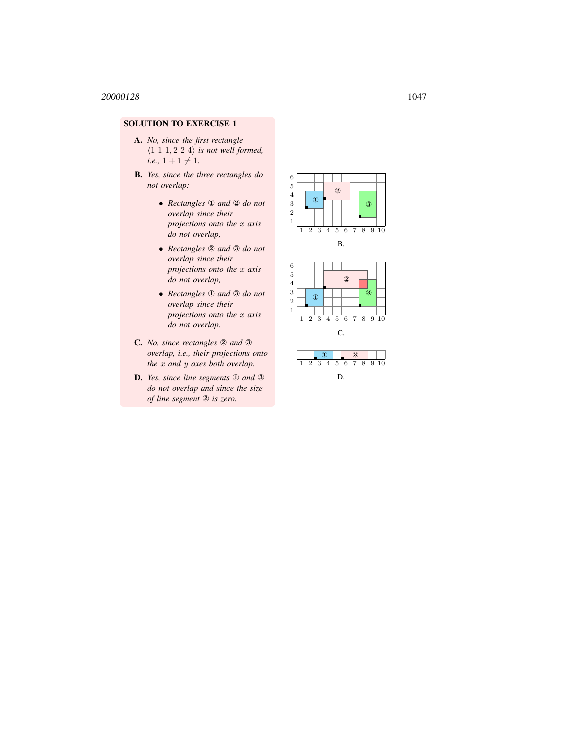## SOLUTION TO EXERCISE 1

- A. *No, since the first rectangle*  $\langle 1\ 1\ 1, 2\ 2\ 4 \rangle$  *is not well formed,*  $i.e., 1 + 1 \neq 1.$
- B. *Yes, since the three rectangles do not overlap:*
	- *Rectangles* ① *and* ② *do not overlap since their projections onto the* x *axis do not overlap,*
	- *Rectangles* ② *and* ③ *do not overlap since their projections onto the* x *axis do not overlap,*
	- *Rectangles* ① *and* ③ *do not overlap since their projections onto the* x *axis do not overlap.*
- C. *No, since rectangles* ② *and* ③ *overlap, i.e., their projections onto the* x *and* y *axes both overlap.*
- D. *Yes, since line segments* ① *and* ③ *do not overlap and since the size of line segment* ② *is zero.*





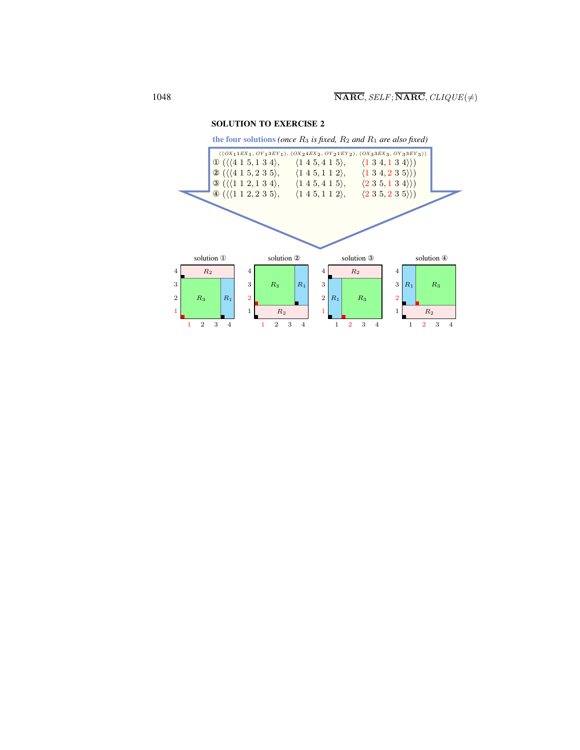

SOLUTION TO EXERCISE 2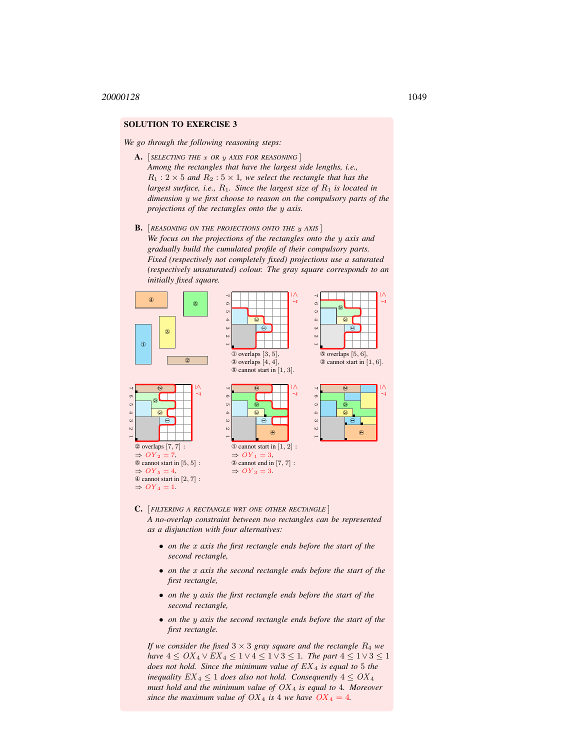### SOLUTION TO EXERCISE 3

*We go through the following reasoning steps:*

- A. [ *SELECTING THE* x *OR* y *AXIS FOR REASONING* ] *Among the rectangles that have the largest side lengths, i.e.,*  $R_1$  : 2  $\times$  5 *and*  $R_2$  : 5  $\times$  1*, we select the rectangle that has the largest surface, i.e., R<sub>1</sub>. Since the largest size of R<sub>1</sub> <i>is located in dimension* y *we first choose to reason on the compulsory parts of the projections of the rectangles onto the* y *axis.*
- B. *REASONING ON THE PROJECTIONS ONTO THE y AXIS We focus on the projections of the rectangles onto the* y *axis and gradually build the cumulated profile of their compulsory parts. Fixed (respectively not completely fixed) projections use a saturated (respectively unsaturated) colour. The gray square corresponds to an initially fixed square.*



- C. [*FILTERING A RECTANGLE WRT ONE OTHER RECTANGLE* ] *A no-overlap constraint between two rectangles can be represented as a disjunction with four alternatives:*
	- *on the* x *axis the first rectangle ends before the start of the second rectangle,*
	- *on the* x *axis the second rectangle ends before the start of the first rectangle,*
	- *on the* y *axis the first rectangle ends before the start of the second rectangle,*
	- *on the* y *axis the second rectangle ends before the start of the first rectangle.*

*If we consider the fixed*  $3 \times 3$  *gray square and the rectangle*  $R_4$  *we have*  $4 \leq OX_4 \vee EX_4 \leq 1 \vee 4 \leq 1 \vee 3 \leq 1$ *. The part*  $4 \leq 1 \vee 3 \leq 1$ *does not hold. Since the minimum value of* EX <sup>4</sup> *is equal to* 5 *the inequality*  $EX_4 \leq 1$  *does also not hold. Consequently*  $4 \leq OX_4$ *must hold and the minimum value of* OX <sup>4</sup> *is equal to* 4*. Moreover since the maximum value of*  $OX_4$  *is* 4 *we have*  $OX_4 = 4$ *.*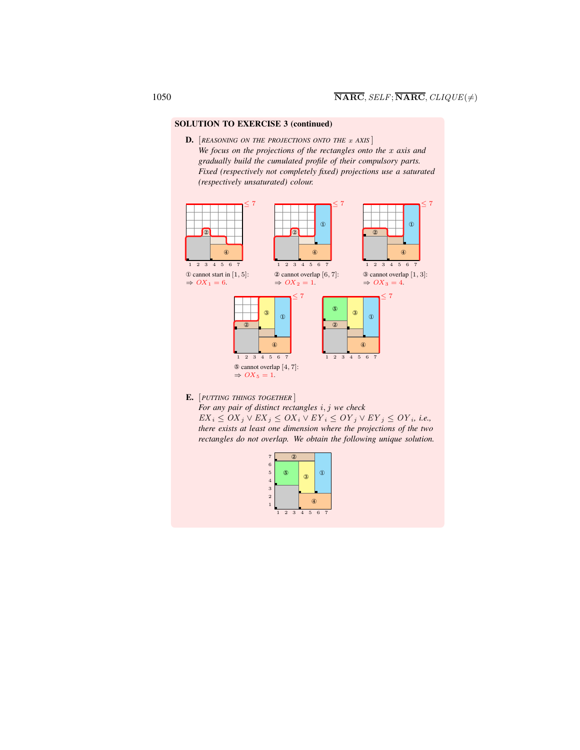## SOLUTION TO EXERCISE 3 (continued)

D. **[REASONING ON THE PROJECTIONS ONTO THE** x AXIS] *We focus on the projections of the rectangles onto the* x *axis and gradually build the cumulated profile of their compulsory parts. Fixed (respectively not completely fixed) projections use a saturated (respectively unsaturated) colour.*



E. [*PUTTING THINGS TOGETHER* ]

*For any pair of distinct rectangles* i, j *we check*

 $EX_i ≤ OX_j ∨ EX_j ≤ OX_i ∨ EY_i ≤ OY_j ∨ EY_j ≤ OY_i$ *, i.e., there exists at least one dimension where the projections of the two rectangles do not overlap. We obtain the following unique solution.*

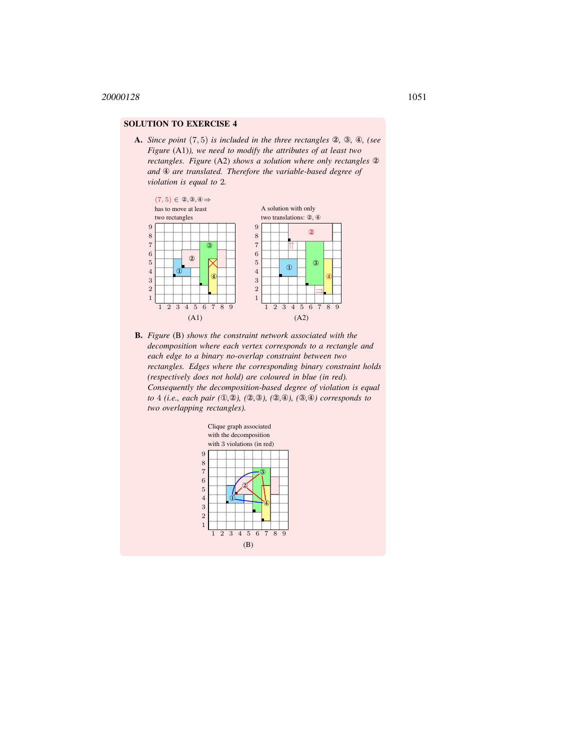## SOLUTION TO EXERCISE 4

A. *Since point* (7, 5) *is included in the three rectangles* ②*,* ③*,* ④*, (see Figure* (A1)*), we need to modify the attributes of at least two rectangles. Figure* (A2) *shows a solution where only rectangles* ② *and* ④ *are translated. Therefore the variable-based degree of violation is equal to* 2*.*



B. *Figure* (B) *shows the constraint network associated with the decomposition where each vertex corresponds to a rectangle and each edge to a binary no-overlap constraint between two rectangles. Edges where the corresponding binary constraint holds (respectively does not hold) are coloured in blue (in red). Consequently the decomposition-based degree of violation is equal to* 4 *(i.e., each pair (*①*,*②*), (*②*,*③*), (*②*,*④*), (*③*,*④*) corresponds to two overlapping rectangles).*